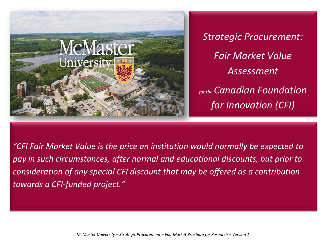

*Strategic Procurement: Fair Market Value Assessment for the Canadian Foundation for Innovation (CFI)*

*"CFI Fair Market Value is the price an institution would normally be expected to pay in such circumstances, after normal and educational discounts, but prior to consideration of any special CFI discount that may be offered as a contribution towards a CFI-funded project."*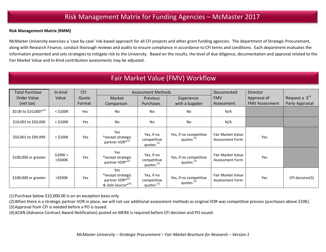### **Risk Management Matrix (RMM)**

McMaster University exercises a 'case by case' risk-based approach for all CFI projects and other grant funding agencies. The department of Strategic Procurement, along with Research Finance, conduct thorough reviews and audits to ensure compliance in accordance to CFI terms and conditions. Each department evaluates the information presented and sets strategies to mitigate risk to the University. Based on the results, the level of due diligence, documentation and approval related to the Fair Market Value and In-Kind contribution assessments may be adjusted.

# Fair Market Value (FMV) Workflow

| <b>Total Purchase</b>  | In-kind                | CFI    | <b>Assessment Methods</b>                                                                |                                                    |                                                 | Documented                                  | Director              |                 |
|------------------------|------------------------|--------|------------------------------------------------------------------------------------------|----------------------------------------------------|-------------------------------------------------|---------------------------------------------|-----------------------|-----------------|
| <b>Order Value</b>     | Value                  | Quote  | Market                                                                                   | Previous                                           | Experience                                      | <b>FMV</b>                                  | Approval of           | Request a 3rd   |
| (net tax)              |                        | Format | Comparison                                                                               | Purchases                                          | with a Supplier                                 | Assessment                                  | <b>FMV Assessment</b> | Party Appraisal |
| \$0.00 to \$10,000*(1) | $<$ \$100K             | Yes    | <b>No</b>                                                                                | <b>No</b>                                          | <b>No</b>                                       | N/A                                         |                       |                 |
| \$10,001 to \$50,000   | $<$ \$100K             | Yes    | No                                                                                       | <b>No</b>                                          | <b>No</b>                                       | N/A                                         |                       |                 |
| \$50,001 to \$99,999   | $<$ \$100 $K$          | Yes    | Yes<br>*except strategic<br>partner VOR* <sup>(2)</sup>                                  | Yes, if no<br>competitive<br>quotes <sup>(2)</sup> | Yes, if no competitive<br>quotes <sup>(2)</sup> | Fair Market Value<br>Assessment Form        | Yes                   |                 |
| \$100,000 or greater   | \$100K ><br>$<$ \$500K | Yes    | Yes<br>*except strategic<br>partner VOR* <sup>(2)</sup>                                  | Yes, if no<br>competitive<br>quotes <sup>(2)</sup> | Yes, if no competitive<br>quotes <sup>(2)</sup> | Fair Market Value<br><b>Assessment Form</b> | Yes                   |                 |
| \$100,000 or greater   | >\$500K                | Yes    | Yes<br>*except strategic<br>partner VOR* <sup>(2)</sup><br>& Sole Source* <sup>(4)</sup> | Yes, if no<br>competitive<br>quotes <sup>(2)</sup> | Yes, if no competitive<br>quotes <sup>(2)</sup> | <b>Fair Market Value</b><br>Assessment Form | Yes                   | CFI decision(3) |

(1)Purchase below \$10,000.00 is on an exception basis only

(2)When there is a strategic partner VOR in place, we will not use additional assessment methods as original VOR was competitive process (purchases above \$10K). (3)Approval from CFI is needed before a PO is issued.

(4)ACAN (Advance Contract Award Notification) posted on MERX is required before CFI decision and PO issued.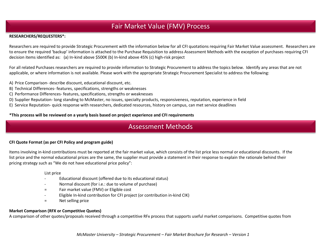# Fair Market Value (FMV) Process

### **RESEARCHERS/REQUESTERS\*:**

Researchers are required to provide Strategic Procurement with the information below for all CFI quotations requiring Fair Market Value assessment. Researchers are to ensure the required 'backup' information is attached to the Purchase Requisition to address Assessment Methods with the exception of purchases requiring CFI decision items identified as: (a) In-kind above \$500K (b) In-kind above 45% (c) high-risk project

For all related Purchases researchers are required to provide information to Strategic Procurement to address the topics below. Identify any areas that are not applicable, or where information is not available. Please work with the appropriate Strategic Procurement Specialist to address the following:

- A) Price Comparison- describe discount, educational discount, etc.
- B) Technical Differences- features, specifications, strengths or weaknesses
- C) Performance Differences- features, specifications, strengths or weaknesses
- D) Supplier Reputation- long standing to McMaster, no issues, specialty products, responsiveness, reputation, experience in field
- E) Service Reputation- quick response with researchers, dedicated resources, history on campus, can met service deadlines

### **\*This process will be reviewed on a yearly basis based on project experience and CFI requirements**

## Assessment Methods

### **CFI Quote Format (as per CFI Policy and program guide)**

Items involving in-kind contributions must be reported at the fair market value, which consists of the list price less normal or educational discounts. If the list price and the normal educational prices are the same, the supplier must provide a statement in their response to explain the rationale behind their pricing strategy such as "We do not have educational price policy":

#### List price

- Educational discount (offered due to its educational status)
- Normal discount (for i.e.: due to volume of purchase)
- = Fair market value (FMV) or Eligible cost
- Eligible In-kind contribution for CFI project (or contribution in-kind CIK)
- = Net selling price

### **Market Comparison (RFX or Competitive Quotes)**

A comparison of other quotes/proposals received through a competitive RFx process that supports useful market comparisons. Competitive quotes from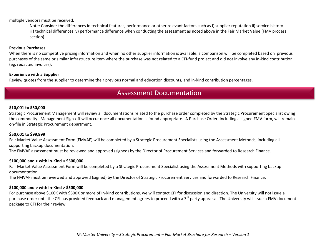multiple vendors must be received.

Note: Consider the differences in technical features, performance or other relevant factors such as i) supplier reputation ii) service history iii) technical differences iv) performance difference when conducting the assessment as noted above in the Fair Market Value (FMV process section).

#### **Previous Purchases**

When there is no competitive pricing information and when no other supplier information is available, a comparison will be completed based on previous purchases of the same or similar infrastructure item where the purchase was not related to a CFI-fund project and did not involve any in-kind contribution (eg. redacted invoices).

#### **Experience with a Supplier**

Review quotes from the supplier to determine their previous normal and education discounts, and in-kind contribution percentages.

## Assessment Documentation

#### **\$10,001 to \$50,000**

Strategic Procurement Management will review all documentations related to the purchase order completed by the Strategic Procurement Specialist owing the commodity. Management Sign-off will occur once all documentation is found appropriate. A Purchase Order, including a signed FMV form, will remain on-file in Strategic Procurement department.

#### **\$50,001 to \$99,999**

Fair Market Value Assessment Form (FMVAF) will be completed by a Strategic Procurement Specialists using the Assessment Methods, including all supporting backup documentation.

The FMVAF assessment must be reviewed and approved (signed) by the Director of Procurement Services and forwarded to Research Finance.

#### **\$100,000 and > with In-Kind < \$500,000**

Fair Market Value Assessment Form will be completed by a Strategic Procurement Specialist using the Assessment Methods with supporting backup documentation.

The FMVAF must be reviewed and approved (signed) by the Director of Strategic Procurement Services and forwarded to Research Finance.

### **\$100,000 and > with In-Kind > \$500,000**

For purchase above \$100K with \$500K or more of In-kind contributions, we will contact CFI for discussion and direction. The University will not issue a purchase order until the CFI has provided feedback and management agrees to proceed with a 3<sup>rd</sup> party appraisal. The University will issue a FMV document package to CFI for their review.